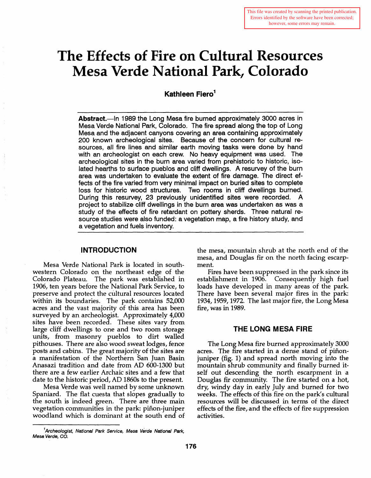# **The Effects of Fire on Cultural Resources Mesa Verde National Park, Colorado**

**Kathleen Fiero<sup>1</sup>** 

Abstract.—In 1989 the Long Mesa fire burned approximately 3000 acres in Mesa Verde National Park, Colorado. The fire spread along the top of Long Mesa and the adjacent canyons covering an area containing approximately 200 known archeological sites. Because of the concern for cultural resources, all fire lines and similar earth moving tasks were done by hand with an archeologist on each crew. No heavy equipment was used. The archeological sites in the burn area varied from prehistoric to historic, isolated hearths to surface pueblos and cliff dwellings. A resurvey of the burn area was undertaken to evaluate the extent of fire damage. The direct effects of the fire varied from very minimal impact on buried sites to complete loss for historic wood structures. Two rooms in cliff dwellings burned. During this resurvey, 23 previously unidentified sites were recorded. A project to stabilize cliff dwellings in the burn area was undertaken as was a study of the effects of fire retardant on pottery sherds. Three natural resource studies were also funded: a vegetation map, a fire history study, and a vegetation and fuels inventory.

## **INTRODUCTION**

Mesa Verde National Park is located in southwestern Colorado on the northeast edge of the Colorado Plateau. The park was established in 1906, ten years before the National Park Service, to preserve and protect the cultural resources located within its boundaries. The park contains 52,000 acres and the vast majority of this area has been surveyed by an archeologist. Approximately 4,000 sites have been recorded. These sites vary from large cliff dwellings to one and two room storage units, from masonry pueblos to dirt walled pithouses. There are also wood sweat lodges, fence posts and cabins. The great majority of the sites are a manifestation of the Northern San Juan Basin Anasazi tradition and date from AD 600-1300 but there are a few earlier Archaic sites and a few that date to the historic period, AD 1860s to the present.

Mesa Verde was well named by some unknown Spaniard. The flat cuesta that slopes gradually to the south is indeed green. There are three main vegetation communities in the park: piñon-juniper woodland which is dominant at the south end of the mesa, mountain shrub at the north end of the mesa, and Douglas fir on the north facing escarpment.

Fires have been suppressed in the park since its establishment in 1906. Consequently high fuel loads have developed in many areas of the park There have been several major fires in the park: 1934,1959,1972. The last major fire, the Long Mesa fire, was in 1989.

## **THE LONG MESA FIRE**

The Long Mesa fire burned approximately 3000 acres. The fire started in a dense stand of piñonjuniper (fig. 1) and spread north moving into the mountain shrub community and finally burned itself out descending the north escarpment in a Douglas fir community. The fire started on a hot, dry, windy day in early July and burned for two weeks. The effects of this fire on the park's cultural resources will be discussed in terms of the direct effects of the fire, and the effects of fire suppression activities.

<sup>&</sup>lt;sup>1</sup>Archeologist, National Park Service, Mesa Verde National Park, Mesa Verde, CO.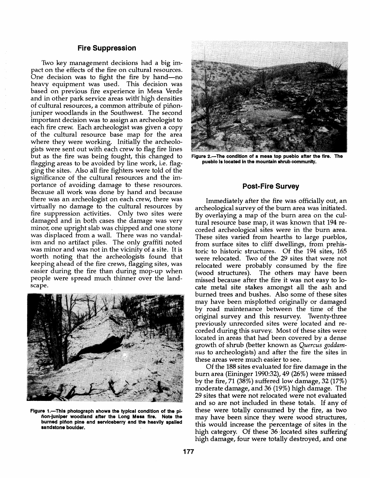## Fire Suppression

Two key management decisions had a big impact on the effects of the fire on cultural resources. One decision was to fight the fire by hand—no heavy equipment was used. This decision was based on previous fire experience in Mesa Verde and in other park service areas with high densities of cultural resources, a common attribute of piñonjuniper woodlands in the Southwest. The second important decision was to assign an archeologist to each fire crew. Each archeologist was given a copy of the cultural resource base map for the area where they were working. Initially the archeologists were sent out with each crew to flag fire lines but as the fire was being fought, this changed to flagging areas to be avoided by line work, i.e. flagging the sites. Also all fire fighters were told of the significance of the cultural resources and the importance of avoiding damage to these resources. Because all work was done by hand and because there was an archeologist on each crew, there was virtually no damage to the cultural resources by fire suppression activities. Only two sites were damaged and in both cases the damage was very minor, one upright slab was chipped and one stone was displaced from a wall. There was no vandalism and no artifact piles. The only graffiti noted was minor and was not in the vicinity of a site. It is worth noting that the archeologists found that keeping ahead of the fire crews, flagging sites, was easier during the fire than during mop-up when people were spread much thinner over the landscape.



Figure 1.-This photograph shows the typical condition of the pilion-Juniper woodland after the Long Mesa fire. Note the burned piñon pine and serviceberry and the heavily spalled sandstone boulder.



Figure 2.-The condition of a mesa top pueblo after the fire. The pueblo is located in the mountain shrub community.

## Post-Fire Survey

Immediately after the fire was officially out, an archeological survey of the burn area was initiated. By overlaying a map of the burn area on the cultural resource base map, it was known that 194 recorded archeological sites were in the burn area. These sites varied from hearths to large pueblos, from surface sites to cliff dwellings, from prehistoric to historic structures. Of the 194 sites, 165 were relocated. Two of the 29 sites that were not relocated were probably consumed by the fire (wood structures). The others may have been missed because after the fire it was not easy to locate metal site stakes amongst all the ash and burned trees and bushes. Also some of these sites may have been misplotted originally or damaged by road maintenance between the time of the original survey and this resurvey. Twenty-three previously unrecorded sites were located and recorded during this survey. Most of these sites were located in areas that had been covered by a dense growth of shrub (better known as *Quercus goddamnus* to archeologists) and after the fire the sites in these areas were much easier to see.

Of the *IBB* sites evaluated for fire damage in the burn area (Eininger 1990:32),49 (26%) were missed by the fire, 71 *(3B%)* suffered low damage, 32 (17%) moderate damage, and 36 (19%) high damage. The 29 sites that were not relocated were not evaluated and so are not included in these totals. If any of these were totally consumed by the fire, as two may have been since they were wood structures, this would increase the percentage of sites in the high category. Of these  $36$  located sites suffering high damage, four were totally destroyed, and one